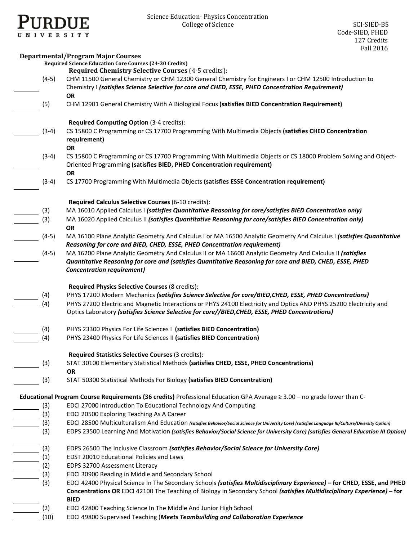

# Science Education- Physics Concentration College of Science SCI-SIED-BS

|         | <b>Departmental/Program Major Courses</b>                                                                                                                                             |
|---------|---------------------------------------------------------------------------------------------------------------------------------------------------------------------------------------|
|         | <b>Required Science Education Core Courses (24-30 Credits)</b>                                                                                                                        |
|         | <b>Required Chemistry Selective Courses (4-5 credits):</b>                                                                                                                            |
| $(4-5)$ | CHM 11500 General Chemistry or CHM 12300 General Chemistry for Engineers I or CHM 12500 Introduction to                                                                               |
|         | Chemistry I (satisfies Science Selective for core and CHED, ESSE, PHED Concentration Requirement)                                                                                     |
|         | <b>OR</b>                                                                                                                                                                             |
| (5)     | CHM 12901 General Chemistry With A Biological Focus (satisfies BIED Concentration Requirement)                                                                                        |
|         |                                                                                                                                                                                       |
|         | Required Computing Option (3-4 credits):                                                                                                                                              |
| $(3-4)$ | CS 15800 C Programming or CS 17700 Programming With Multimedia Objects (satisfies CHED Concentration                                                                                  |
|         | requirement)                                                                                                                                                                          |
|         | <b>OR</b>                                                                                                                                                                             |
| $(3-4)$ | CS 15800 C Programming or CS 17700 Programming With Multimedia Objects or CS 18000 Problem Solving and Object-                                                                        |
|         | Oriented Programming (satisfies BIED, PHED Concentration requirement)                                                                                                                 |
|         | <b>OR</b>                                                                                                                                                                             |
| $(3-4)$ | CS 17700 Programming With Multimedia Objects (satisfies ESSE Concentration requirement)                                                                                               |
|         |                                                                                                                                                                                       |
|         | Required Calculus Selective Courses (6-10 credits):                                                                                                                                   |
| (3)     | MA 16010 Applied Calculus I (satisfies Quantitative Reasoning for core/satisfies BIED Concentration only)                                                                             |
| (3)     | MA 16020 Applied Calculus II (satisfies Quantitative Reasoning for core/satisfies BIED Concentration only)                                                                            |
|         | <b>OR</b><br>MA 16100 Plane Analytic Geometry And Calculus I or MA 16500 Analytic Geometry And Calculus I (satisfies Quantitative                                                     |
| $(4-5)$ |                                                                                                                                                                                       |
|         | Reasoning for core and BIED, CHED, ESSE, PHED Concentration requirement)<br>MA 16200 Plane Analytic Geometry And Calculus II or MA 16600 Analytic Geometry And Calculus II (satisfies |
| $(4-5)$ | Quantitative Reasoning for core and (satisfies Quantitative Reasoning for core and BIED, CHED, ESSE, PHED                                                                             |
|         | <b>Concentration requirement)</b>                                                                                                                                                     |
|         |                                                                                                                                                                                       |
|         | Required Physics Selective Courses (8 credits):                                                                                                                                       |
| (4)     | PHYS 17200 Modern Mechanics (satisfies Science Selective for core/BIED, CHED, ESSE, PHED Concentrations)                                                                              |
| (4)     | PHYS 27200 Electric and Magnetic Interactions or PHYS 24100 Electricity and Optics AND PHYS 25200 Electricity and                                                                     |
|         | Optics Laboratory (satisfies Science Selective for core//BIED, CHED, ESSE, PHED Concentrations)                                                                                       |
|         |                                                                                                                                                                                       |
| (4)     | PHYS 23300 Physics For Life Sciences   (satisfies BIED Concentration)                                                                                                                 |
| (4)     | PHYS 23400 Physics For Life Sciences II (satisfies BIED Concentration)                                                                                                                |
|         | Required Statistics Selective Courses (3 credits):                                                                                                                                    |
| (3)     | STAT 30100 Elementary Statistical Methods (satisfies CHED, ESSE, PHED Concentrations)                                                                                                 |
|         | <b>OR</b>                                                                                                                                                                             |
| (3)     | STAT 50300 Statistical Methods For Biology (satisfies BIED Concentration)                                                                                                             |
|         |                                                                                                                                                                                       |
|         | Educational Program Course Requirements (36 credits) Professional Education GPA Average $\geq 3.00$ – no grade lower than C-                                                          |
| (3)     | EDCI 27000 Introduction To Educational Technology And Computing                                                                                                                       |
| (3)     | EDCI 20500 Exploring Teaching As A Career                                                                                                                                             |
| (3)     | EDCI 28500 Multiculturalism And Education (satisfies Behavior/Social Science for University Core) (satisfies Language III/Culture/Diversity Option)                                   |
| (3)     | EDPS 23500 Learning And Motivation (satisfies Behavior/Social Science for University Core) (satisfies General Education III Option)                                                   |
| (3)     | EDPS 26500 The Inclusive Classroom (satisfies Behavior/Social Science for University Core)                                                                                            |
| (1)     | <b>EDST 20010 Educational Policies and Laws</b>                                                                                                                                       |
| (2)     | EDPS 32700 Assessment Literacy                                                                                                                                                        |
| (3)     | EDCI 30900 Reading in Middle and Secondary School                                                                                                                                     |
| (3)     | EDCI 42400 Physical Science In The Secondary Schools (satisfies Multidisciplinary Experience) - for CHED, ESSE, and PHED                                                              |
|         | Concentrations OR EDCI 42100 The Teaching of Biology in Secondary School (satisfies Multidisciplinary Experience) - for                                                               |
|         | <b>BIED</b>                                                                                                                                                                           |
| (2)     | EDCI 42800 Teaching Science In The Middle And Junior High School                                                                                                                      |
|         |                                                                                                                                                                                       |

(10) EDCI 49800 Supervised Teaching (*Meets Teambuilding and Collaboration Experience*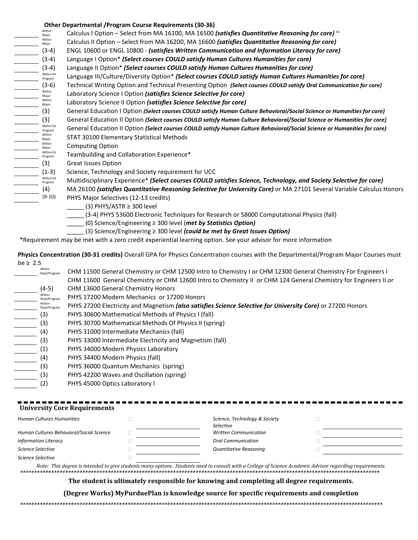### **Other Departmental /Program Course Requirements (30-36)**

| Within<br>Major      | Calculus I Option - Select from MA 16100, MA 16500 (satisfies Quantitative Reasoning for core) <sup>cc</sup>              |
|----------------------|---------------------------------------------------------------------------------------------------------------------------|
| Within<br>Major      | Calculus II Option - Select from MA 16200, MA 16600 (satisfies Quantitative Reasoning for core)                           |
| $(3-4)$              | ENGL 10600 or ENGL 10800 - (satisfies Written Communication and Information Literacy for core)                            |
| $(3-4)$              | Language I Option* (Select courses COULD satisfy Human Cultures Humanities for core)                                      |
| $(3-4)$              | Language II Option* (Select courses COULD satisfy Human Cultures Humanities for core)                                     |
| Within Ed<br>Program | Language III/Culture/Diversity Option* (Select courses COULD satisfy Human Cultures Humanities for core)                  |
| $(3-6)$              | Technical Writing Option and Technical Presenting Option (Select courses COULD satisfy Oral Communication for core)       |
| Within<br>Major      | Laboratory Science I Option (satisfies Science Selective for core)                                                        |
| Within<br>Major      | Laboratory Science II Option <i>(satisfies Science Selective for core)</i>                                                |
| (3)                  | General Education I Option (Select courses COULD satisfy Human Culture Behavioral/Social Science or Humanities for core)  |
| (3)                  | General Education II Option (Select courses COULD satisfy Human Culture Behavioral/Social Science or Humanities for core) |
| Within Ed<br>Program | General Education II Option (Select courses COULD satisfy Human Culture Behavioral/Social Science or Humanities for core) |
| Within<br>Major      | STAT 30100 Elementary Statistical Methods                                                                                 |
| Within<br>Major      | <b>Computing Option</b>                                                                                                   |
| Within Ed<br>Program | Teambuilding and Collaboration Experience*                                                                                |
| (3)                  | <b>Great Issues Option</b>                                                                                                |
| $(1-3)$              | Science, Technology and Society requirement for UCC                                                                       |
| Within Ed<br>Program | Multidisciplinary Experience* (Select courses COULD satisfies Science, Technology, and Society Selective for core)        |
| (4)                  | MA 26100 (satisfies Quantitative Reasoning Selective for University Core) or MA 27101 Several Variable Calculus Honors    |
| $(9-10)$             | PHYS Major Selectives (12-13 credits)                                                                                     |
|                      | (3) PHYS/ASTR $\geq$ 300 level                                                                                            |
|                      | (3-4) PHYS 53600 Electronic Techniques for Research or 58000 Computational Physics (fall)                                 |
|                      | (0) Science/Engineering $\geq$ 300 level (met by Statistics Option)                                                       |
|                      | (3) Science/Engineering $\geq 300$ level <i>(could be met by Great Issues Option)</i>                                     |

\*Requirement may be met with a zero credit experiential learning option. See your advisor for more information

**Physics Concentration (30-31 credits)** Overall GPA for Physics Concentration courses with the Departmental/Program Major Courses must be ≥ 2.5

| Within<br>Dept/Program | CHM 11500 General Chemistry or CHM 12500 Intro to Chemistry I or CHM 12300 General Chemistry For Engineers I    |
|------------------------|-----------------------------------------------------------------------------------------------------------------|
|                        | CHM 11600 General Chemistry or CHM 12600 Intro to Chemistry II or CHM 124 General Chemistry for Engineers II or |
| $(4-5)$                | <b>CHM 13600 General Chemistry Honors</b>                                                                       |
| Within<br>Dept/Program | PHYS 17200 Modern Mechanics or 17200 Honors                                                                     |
| Within<br>Dept/Program | PHYS 27200 Electricity and Magnetism (also satisfies Science Selective for University Core) or 27200 Honors     |
| (3)                    | PHYS 30600 Mathematical Methods of Physics I (fall)                                                             |
| (3)                    | PHYS 30700 Mathematical Methods Of Physics II (spring)                                                          |
| (4)                    | PHYS 31000 Intermediate Mechanics (fall)                                                                        |
| (3)                    | PHYS 33000 Intermediate Electricity and Magnetism (fall)                                                        |
| $\left( 1\right)$      | PHYS 34000 Modern Physics Laboratory                                                                            |
| (4)                    | PHYS 34400 Modern Physics (fall)                                                                                |
| (3)                    | PHYS 36000 Quantum Mechanics (spring)                                                                           |
| (3)                    | PHYS 42200 Waves and Oscillation (spring)                                                                       |
| (2)                    | PHYS 45000 Optics Laboratory I                                                                                  |

| <b>University Core Requirements</b>      |                                            |  |
|------------------------------------------|--------------------------------------------|--|
| <b>Human Cultures Humanities</b>         | Science, Technology & Society<br>Selective |  |
| Human Cultures Behavioral/Social Science | <b>Written Communication</b>               |  |
| <b>Information Literacy</b>              | <b>Oral Communication</b>                  |  |
| Science Selective                        | <b>Quantitative Reasoning</b>              |  |
| Science Selective                        |                                            |  |

*Note: This degree is intended to give students many options. Students need to consult with a College of Science Academic Advisor regarding requirements. \*\*\*\*\*\*\*\*\*\*\*\*\*\*\*\*\*\*\*\*\*\*\*\*\*\*\*\*\*\*\*\*\*\*\*\*\*\*\*\*\*\*\*\*\*\*\*\*\*\*\*\*\*\*\*\*\*\*\*\*\*\*\*\*\*\*\*\*\*\*\*\*\*\*\*\*\*\*\*\*\*\*\*\*\*\*\*\*\*\*\*\*\*\*\*\*\*\*\*\*\*\*\*\*\*\*\*\*\*\*\*\*\*\*\*\*\*\*\*\*\*\*\*\*\*\*\**

**The student is ultimately responsible for knowing and completing all degree requirements.** 

**(Degree Works) MyPurduePlan is knowledge source for specific requirements and completion**

*\*\*\*\*\*\*\*\*\*\*\*\*\*\*\*\*\*\*\*\*\*\*\*\*\*\*\*\*\*\*\*\*\*\*\*\*\*\*\*\*\*\*\*\*\*\*\*\*\*\*\*\*\*\*\*\*\*\*\*\*\*\*\*\*\*\*\*\*\*\*\*\*\*\*\*\*\*\*\*\*\*\*\*\*\*\*\*\*\*\*\*\*\*\*\*\*\*\*\*\*\*\*\*\*\*\*\*\*\*\*\*\*\*\*\*\*\*\*\*\*\*\*\*\*\*\*\*\**